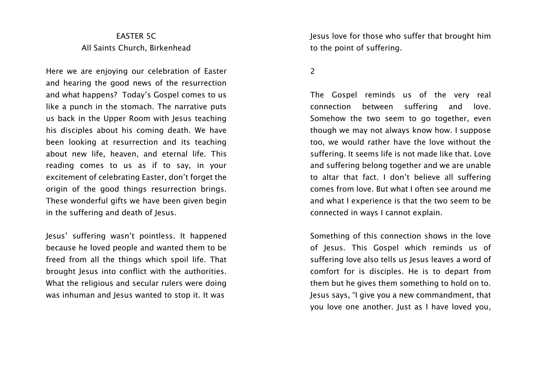## EASTER 5C All Saints Church, Birkenhead

Here we are enjoying our celebration of Easter and hearing the good news of the resurrection and what happens? Today's Gospel comes to us like a punch in the stomach. The narrative puts us back in the Upper Room with Jesus teaching his disciples about his coming death. We have been looking at resurrection and its teaching about new life, heaven, and eternal life. This reading comes to us as if to say, in your excitement of celebrating Easter, don't forget the origin of the good things resurrection brings. These wonderful gifts we have been given begin in the suffering and death of Jesus.

Jesus' suffering wasn't pointless. It happened because he loved people and wanted them to be freed from all the things which spoil life. That brought Jesus into conflict with the authorities. What the religious and secular rulers were doing was inhuman and Jesus wanted to stop it. It was

Jesus love for those who suffer that brought him to the point of suffering.

 $\overline{2}$ 

The Gospel reminds us of the very real connection between suffering and love. Somehow the two seem to go together, even though we may not always know how. I suppose too, we would rather have the love without the suffering. It seems life is not made like that. Love and suffering belong together and we are unable to altar that fact. I don't believe all suffering comes from love. But what I often see around me and what I experience is that the two seem to be connected in ways I cannot explain.

Something of this connection shows in the love of Jesus. This Gospel which reminds us of suffering love also tells us Jesus leaves a word of comfort for is disciples. He is to depart from them but he gives them something to hold on to. Jesus says, "I give you a new commandment, that you love one another. Just as I have loved you,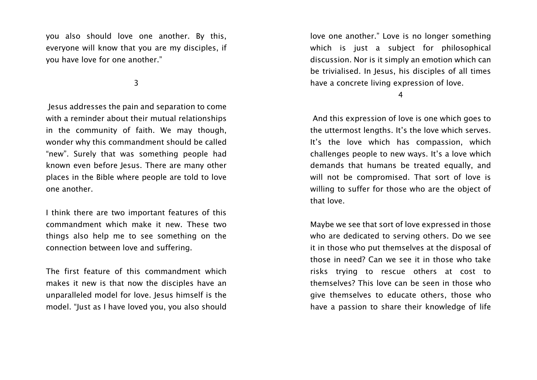you also should love one another. By this, everyone will know that you are my disciples, if you have love for one another."

3

Jesus addresses the pain and separation to come with a reminder about their mutual relationships in the community of faith. We may though, wonder why this commandment should be called "new". Surely that was something people had known even before Jesus. There are many other places in the Bible where people are told to love one another.

I think there are two important features of this commandment which make it new. These two things also help me to see something on the connection between love and suffering.

The first feature of this commandment which makes it new is that now the disciples have an unparalleled model for love. Jesus himself is the model. "Just as I have loved you, you also should love one another." Love is no longer something which is just a subject for philosophical discussion. Nor is it simply an emotion which can be trivialised. In Jesus, his disciples of all times have a concrete living expression of love.

4

And this expression of love is one which goes to the uttermost lengths. It's the love which serves. It's the love which has compassion, which challenges people to new ways. It's a love which demands that humans be treated equally, and will not be compromised. That sort of love is willing to suffer for those who are the object of that love.

Maybe we see that sort of love expressed in those who are dedicated to serving others. Do we see it in those who put themselves at the disposal of those in need? Can we see it in those who take risks trying to rescue others at cost to themselves? This love can be seen in those who give themselves to educate others, those who have a passion to share their knowledge of life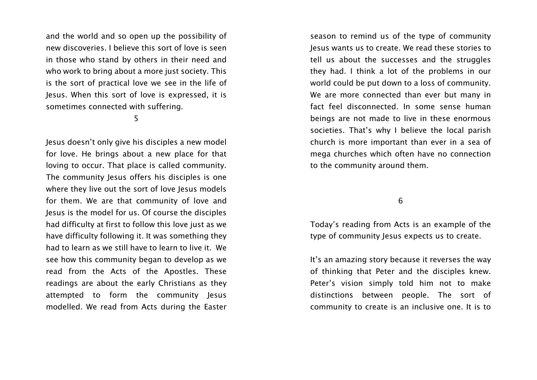and the world and so open up the possibility of new discoveries. I believe this sort of love is seen in those who stand by others in their need and who work to bring about a more just society. This is the sort of practical love we see in the life of Jesus. When this sort of love is expressed, it is sometimes connected with suffering.

5

Jesus doesn't only give his disciples a new model for love. He brings about a new place for that loving to occur. That place is called community. The community Jesus offers his disciples is one where they live out the sort of love Jesus models for them. We are that community of love and Jesus is the model for us. Of course the disciples had difficulty at first to follow this love just as we have difficulty following it. It was something they had to learn as we still have to learn to live it. We see how this community began to develop as we read from the Acts of the Apostles. These readings are about the early Christians as they attempted to form the community Jesus modelled. We read from Acts during the Easter

season to remind us of the type of community Jesus wants us to create. We read these stories to tell us about the successes and the struggles they had. I think a lot of the problems in our world could be put down to a loss of community. We are more connected than ever but many in fact feel disconnected. In some sense human beings are not made to live in these enormous societies. That's why I believe the local parish church is more important than ever in a sea of mega churches which often have no connection to the community around them.

6

Today's reading from Acts is an example of the type of community lesus expects us to create.

It's an amazing story because it reverses the way of thinking that Peter and the disciples knew. Peter's vision simply told him not to make distinctions between people. The sort of community to create is an inclusive one. It is to